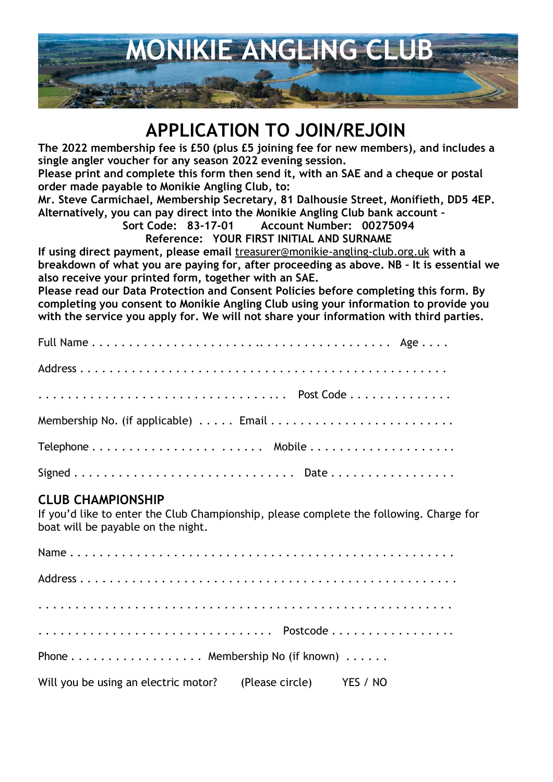

# **APPLICATION TO JOIN/REJOIN**

**The 2022 membership fee is £50 (plus £5 joining fee for new members), and includes a single angler voucher for any season 2022 evening session.**

**Please print and complete this form then send it, with an SAE and a cheque or postal order made payable to Monikie Angling Club, to:**

**Mr. Steve Carmichael, Membership Secretary, 81 Dalhousie Street, Monifieth, DD5 4EP. Alternatively, you can pay direct into the Monikie Angling Club bank account –**

**Sort Code: 83-17-01 Account Number: 00275094**

**Reference: YOUR FIRST INITIAL AND SURNAME**

**If using direct payment, please email** treasurer@monikie-angling-club.org.uk **with a breakdown of what you are paying for, after proceeding as above. NB – It is essential we also receive your printed form, together with an SAE.**

**Please read our Data Protection and Consent Policies before completing this form. By completing you consent to Monikie Angling Club using your information to provide you with the service you apply for. We will not share your information with third parties.**

### **CLUB CHAMPIONSHIP**

If you'd like to enter the Club Championship, please complete the following. Charge for boat will be payable on the night.

| Phone Membership No (if known)                                |  |
|---------------------------------------------------------------|--|
| Will you be using an electric motor? (Please circle) YES / NO |  |